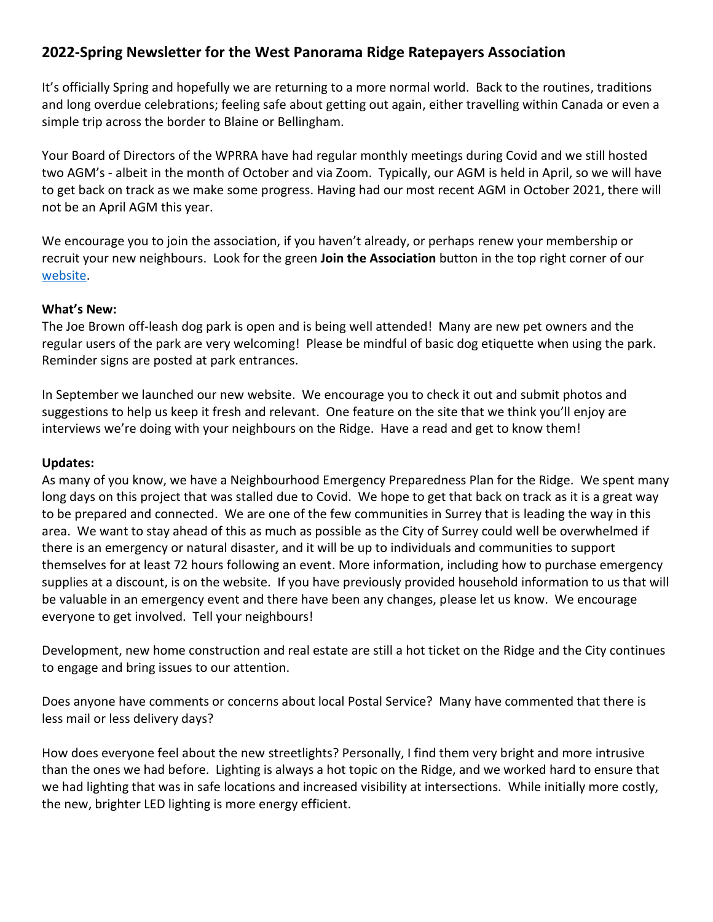# **2022-Spring Newsletter for the West Panorama Ridge Ratepayers Association**

It's officially Spring and hopefully we are returning to a more normal world. Back to the routines, traditions and long overdue celebrations; feeling safe about getting out again, either travelling within Canada or even a simple trip across the border to Blaine or Bellingham.

Your Board of Directors of the WPRRA have had regular monthly meetings during Covid and we still hosted two AGM's - albeit in the month of October and via Zoom. Typically, our AGM is held in April, so we will have to get back on track as we make some progress. Having had our most recent AGM in October 2021, there will not be an April AGM this year.

We encourage you to join the association, if you haven't already, or perhaps renew your membership or recruit your new neighbours. Look for the green **Join the Association** button in the top right corner of our [website.](https://www.panoramaridge.org/)

#### **What's New:**

The Joe Brown off-leash dog park is open and is being well attended! Many are new pet owners and the regular users of the park are very welcoming! Please be mindful of basic dog etiquette when using the park. Reminder signs are posted at park entrances.

In September we launched our new website. We encourage you to check it out and submit photos and suggestions to help us keep it fresh and relevant. One feature on the site that we think you'll enjoy are interviews we're doing with your neighbours on the Ridge. Have a read and get to know them!

### **Updates:**

As many of you know, we have a Neighbourhood Emergency Preparedness Plan for the Ridge. We spent many long days on this project that was stalled due to Covid. We hope to get that back on track as it is a great way to be prepared and connected. We are one of the few communities in Surrey that is leading the way in this area. We want to stay ahead of this as much as possible as the City of Surrey could well be overwhelmed if there is an emergency or natural disaster, and it will be up to individuals and communities to support themselves for at least 72 hours following an event. More information, including how to purchase emergency supplies at a discount, is on the website. If you have previously provided household information to us that will be valuable in an emergency event and there have been any changes, please let us know. We encourage everyone to get involved. Tell your neighbours!

Development, new home construction and real estate are still a hot ticket on the Ridge and the City continues to engage and bring issues to our attention.

Does anyone have comments or concerns about local Postal Service? Many have commented that there is less mail or less delivery days?

How does everyone feel about the new streetlights? Personally, I find them very bright and more intrusive than the ones we had before. Lighting is always a hot topic on the Ridge, and we worked hard to ensure that we had lighting that was in safe locations and increased visibility at intersections. While initially more costly, the new, brighter LED lighting is more energy efficient.